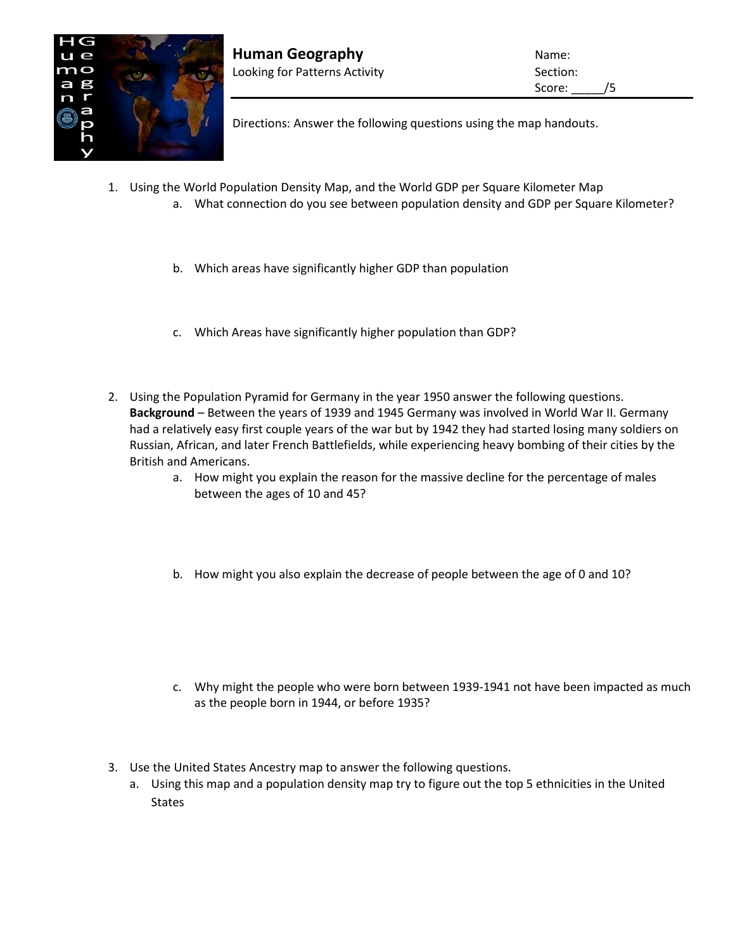

Directions: Answer the following questions using the map handouts.

- 1. Using the World Population Density Map, and the World GDP per Square Kilometer Map
	- a. What connection do you see between population density and GDP per Square Kilometer?
	- b. Which areas have significantly higher GDP than population
	- c. Which Areas have significantly higher population than GDP?
- 2. Using the Population Pyramid for Germany in the year 1950 answer the following questions. **Background** – Between the years of 1939 and 1945 Germany was involved in World War II. Germany had a relatively easy first couple years of the war but by 1942 they had started losing many soldiers on Russian, African, and later French Battlefields, while experiencing heavy bombing of their cities by the British and Americans.
	- a. How might you explain the reason for the massive decline for the percentage of males between the ages of 10 and 45?
	- b. How might you also explain the decrease of people between the age of 0 and 10?
	- c. Why might the people who were born between 1939-1941 not have been impacted as much as the people born in 1944, or before 1935?
- 3. Use the United States Ancestry map to answer the following questions.
	- a. Using this map and a population density map try to figure out the top 5 ethnicities in the United **States**